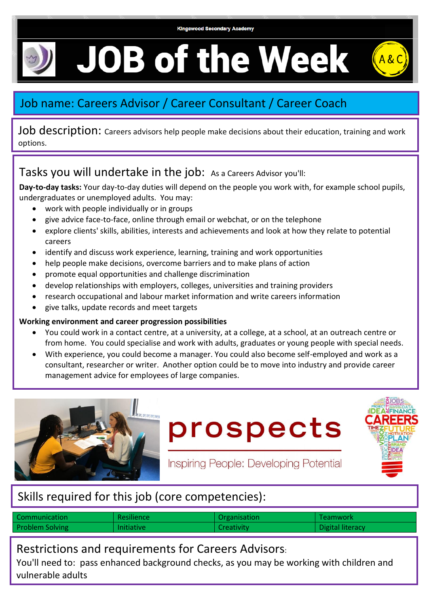# **JOB of the Week**



## Job name: Careers Advisor / Career Consultant / Career Coach

Job description: Careers advisors help people make decisions about their education, training and work options.

## Tasks you will undertake in the job: As a Careers Advisor you'll:

**Day-to-day tasks:** Your day-to-day duties will depend on the people you work with, for example school pupils, undergraduates or unemployed adults. You may:

- work with people individually or in groups
- give advice face-to-face, online through email or webchat, or on the telephone
- explore clients' skills, abilities, interests and achievements and look at how they relate to potential careers
- identify and discuss work experience, learning, training and work opportunities
- help people make decisions, overcome barriers and to make plans of action
- promote equal opportunities and challenge discrimination
- develop relationships with employers, colleges, universities and training providers
- research occupational and labour market information and write careers information
- give talks, update records and meet targets

#### **Working environment and career progression possibilities**

- You could work in a contact centre, at a university, at a college, at a school, at an outreach centre or from home. You could specialise and work with adults, graduates or young people with special needs.
- With experience, you could become a manager. You could also become self-employed and work as a consultant, researcher or writer. Another option could be to move into industry and provide career management advice for employees of large companies.



prospects



Inspiring People: Developing Potential

## Skills required for this job (core competencies):

| Communication          | Resilience        | Organisation      | Teamwork         |
|------------------------|-------------------|-------------------|------------------|
| <b>Problem Solving</b> | <b>Initiative</b> | <b>Creativity</b> | Digital literacy |

Restrictions and requirements for Careers Advisors:

You'll need to: pass enhanced background checks, as you may be working with children and vulnerable adults